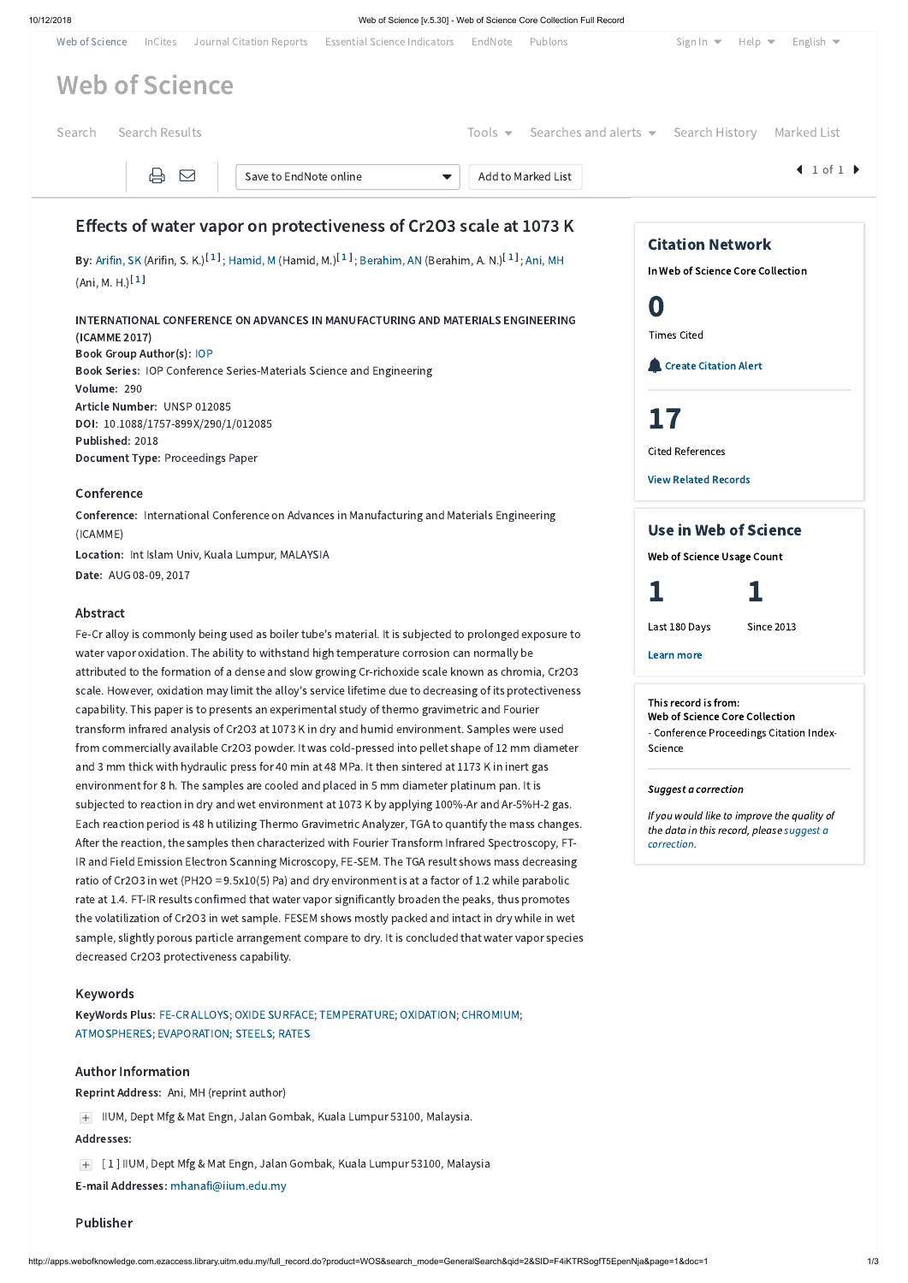

ratio of Cr2O3 in wet (PH2O = 9.5x10(5) Pa) and dry environment is at a factor of 1.2 while parabolic rate at 1.4. FT-IR results confirmed that water vapor significantly broaden the peaks, thus promotes the volatilization of Cr2O3 in wet sample. FESEM shows mostly packed and intact in dry while in wet sample, slightly porous particle arrangement compare to dry. It is concluded that water vapor species

decreased Cr2O3 protectiveness capability.

### Keywords

KeyWords Plus: FE-CR [ALLOYS;](http://apps.webofknowledge.com.ezaccess.library.uitm.edu.my/OneClickSearch.do?product=WOS&search_mode=OneClickSearch&excludeEventConfig=ExcludeIfFromFullRecPage&colName=WOS&SID=F4iKTRSogfT5EpenNja&field=TS&value=FE-CR+ALLOYS&uncondQuotes=true) OXIDE [SURFACE;](http://apps.webofknowledge.com.ezaccess.library.uitm.edu.my/OneClickSearch.do?product=WOS&search_mode=OneClickSearch&excludeEventConfig=ExcludeIfFromFullRecPage&colName=WOS&SID=F4iKTRSogfT5EpenNja&field=TS&value=OXIDE+SURFACE&uncondQuotes=true) [TEMPERATURE;](http://apps.webofknowledge.com.ezaccess.library.uitm.edu.my/OneClickSearch.do?product=WOS&search_mode=OneClickSearch&excludeEventConfig=ExcludeIfFromFullRecPage&colName=WOS&SID=F4iKTRSogfT5EpenNja&field=TS&value=TEMPERATURE&uncondQuotes=true) [OXIDATION;](http://apps.webofknowledge.com.ezaccess.library.uitm.edu.my/OneClickSearch.do?product=WOS&search_mode=OneClickSearch&excludeEventConfig=ExcludeIfFromFullRecPage&colName=WOS&SID=F4iKTRSogfT5EpenNja&field=TS&value=OXIDATION&uncondQuotes=true) [CHROMIUM](http://apps.webofknowledge.com.ezaccess.library.uitm.edu.my/OneClickSearch.do?product=WOS&search_mode=OneClickSearch&excludeEventConfig=ExcludeIfFromFullRecPage&colName=WOS&SID=F4iKTRSogfT5EpenNja&field=TS&value=CHROMIUM&uncondQuotes=true); [ATMOSPHERES;](http://apps.webofknowledge.com.ezaccess.library.uitm.edu.my/OneClickSearch.do?product=WOS&search_mode=OneClickSearch&excludeEventConfig=ExcludeIfFromFullRecPage&colName=WOS&SID=F4iKTRSogfT5EpenNja&field=TS&value=ATMOSPHERES&uncondQuotes=true) [EVAPORATION](http://apps.webofknowledge.com.ezaccess.library.uitm.edu.my/OneClickSearch.do?product=WOS&search_mode=OneClickSearch&excludeEventConfig=ExcludeIfFromFullRecPage&colName=WOS&SID=F4iKTRSogfT5EpenNja&field=TS&value=EVAPORATION&uncondQuotes=true); [STEELS](http://apps.webofknowledge.com.ezaccess.library.uitm.edu.my/OneClickSearch.do?product=WOS&search_mode=OneClickSearch&excludeEventConfig=ExcludeIfFromFullRecPage&colName=WOS&SID=F4iKTRSogfT5EpenNja&field=TS&value=STEELS&uncondQuotes=true); [RATES](http://apps.webofknowledge.com.ezaccess.library.uitm.edu.my/OneClickSearch.do?product=WOS&search_mode=OneClickSearch&excludeEventConfig=ExcludeIfFromFullRecPage&colName=WOS&SID=F4iKTRSogfT5EpenNja&field=TS&value=RATES&uncondQuotes=true)

#### Author Information

Reprint Address: Ani, MH (reprint author)

IIUM, Dept Mfg & Mat Engn, Jalan Gombak, Kuala Lumpur 53100, Malaysia.

#### Addresses:

[ 1 ] IIUM, Dept Mfg & Mat Engn, Jalan Gombak, Kuala Lumpur 53100, Malaysia

E-mail Addresses: [mhanafi@iium.edu.my](mailto:mhanafi@iium.edu.my)

# Publisher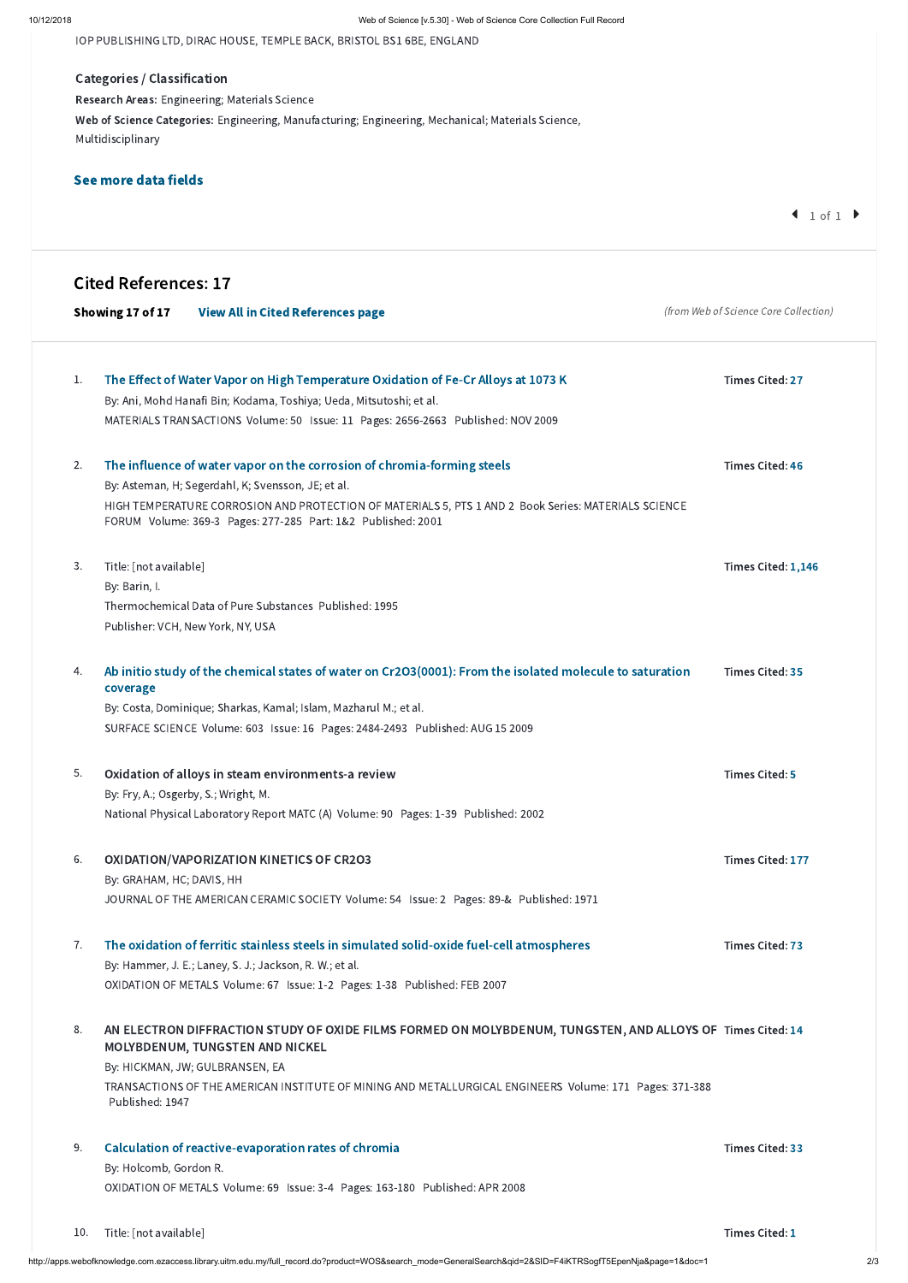IOP PUBLISHING LTD, DIRAC HOUSE, TEMPLE BACK, BRISTOL BS1 6BE, ENGLAND

Categories / Classification Research Areas: Engineering; Materials Science Web of Science Categories: Engineering, Manufacturing; Engineering, Mechanical; Materials Science, Multidisciplinary

# See more data fields

 $1 of 1$ 

#### AN ELECTRON DIFFRACTION STUDY OF OXIDE FILMS FORMED ON MOLYBDENUM, TUNGSTEN, AND ALLOYS OF Times Cited: [14](http://apps.webofknowledge.com.ezaccess.library.uitm.edu.my/CitingArticles.do?product=WOS&SID=F4iKTRSogfT5EpenNja&search_mode=CitingArticles&parentProduct=WOS&parentQid=3&parentDoc=8&REFID=44828402&excludeEventConfig=ExcludeIfFromNonInterProduct) MOLYBDENUM, TUNGSTEN AND NICKEL 8.

|    | <b>Cited References: 17</b><br>Showing 17 of 17<br><b>View All in Cited References page</b>                                                                                                                                                                                                           | (from Web of Science Core Collection) |
|----|-------------------------------------------------------------------------------------------------------------------------------------------------------------------------------------------------------------------------------------------------------------------------------------------------------|---------------------------------------|
| 1. | The Effect of Water Vapor on High Temperature Oxidation of Fe-Cr Alloys at 1073 K<br>By: Ani, Mohd Hanafi Bin; Kodama, Toshiya; Ueda, Mitsutoshi; et al.<br>MATERIALS TRANSACTIONS Volume: 50 Issue: 11 Pages: 2656-2663 Published: NOV 2009                                                          | <b>Times Cited: 27</b>                |
| 2. | The influence of water vapor on the corrosion of chromia-forming steels<br>By: Asteman, H; Segerdahl, K; Svensson, JE; et al.<br>HIGH TEMPERATURE CORROSION AND PROTECTION OF MATERIALS 5, PTS 1 AND 2 Book Series: MATERIALS SCIENCE<br>FORUM Volume: 369-3 Pages: 277-285 Part: 1&2 Published: 2001 | <b>Times Cited: 46</b>                |
| 3. | Title: [not available]<br>By: Barin, I.<br>Thermochemical Data of Pure Substances Published: 1995<br>Publisher: VCH, New York, NY, USA                                                                                                                                                                | Times Cited: 1,146                    |
| 4. | Ab initio study of the chemical states of water on Cr2O3(0001): From the isolated molecule to saturation<br>coverage<br>By: Costa, Dominique; Sharkas, Kamal; Islam, Mazharul M.; et al.<br>SURFACE SCIENCE Volume: 603 Issue: 16 Pages: 2484-2493 Published: AUG 15 2009                             | <b>Times Cited: 35</b>                |
| 5. | Oxidation of alloys in steam environments-a review<br>By: Fry, A.; Osgerby, S.; Wright, M.<br>National Physical Laboratory Report MATC (A) Volume: 90 Pages: 1-39 Published: 2002                                                                                                                     | <b>Times Cited: 5</b>                 |
| 6. | <b>OXIDATION/VAPORIZATION KINETICS OF CR2O3</b><br>By: GRAHAM, HC; DAVIS, HH<br>JOURNAL OF THE AMERICAN CERAMIC SOCIETY Volume: 54 Issue: 2 Pages: 89-& Published: 1971                                                                                                                               | <b>Times Cited: 177</b>               |
| 7. | The oxidation of ferritic stainless steels in simulated solid-oxide fuel-cell atmospheres                                                                                                                                                                                                             | <b>Times Cited: 73</b>                |

By: Hammer, J. E.; Laney, S. J.; Jackson, R. W.; et al.

OXIDATION OF METALS Volume: 67 Issue: 1-2 Pages: 1-38 Published: FEB 2007

By: HICKMAN, JW; GULBRANSEN, EA

TRANSACTIONS OF THE AMERICAN INSTITUTE OF MINING AND METALLURGICAL ENGINEERS Volume: 171 Pages: 371-388 Published: 1947

By: Holcomb, Gordon R.

OXIDATION OF METALS Volume: 69 Issue: 3-4 Pages: 163-180 Published: APR 2008

#### Calculation of [reactive-evaporation](http://apps.webofknowledge.com.ezaccess.library.uitm.edu.my/CitedFullRecord.do?product=WOS&colName=WOS&SID=F4iKTRSogfT5EpenNja&search_mode=CitedFullRecord&isickref=WOS:000253572800003) rates of chromia 9.

Times Cited: [33](http://apps.webofknowledge.com.ezaccess.library.uitm.edu.my/CitingArticles.do?product=WOS&SID=F4iKTRSogfT5EpenNja&search_mode=CitingArticles&parentProduct=WOS&parentQid=3&parentDoc=9&REFID=85239974&excludeEventConfig=ExcludeIfFromNonInterProduct)

Title: [not available] Times Cited: [1](http://apps.webofknowledge.com.ezaccess.library.uitm.edu.my/CitingArticles.do?product=WOS&SID=F4iKTRSogfT5EpenNja&search_mode=CitingArticles&parentProduct=WOS&parentQid=3&parentDoc=10&REFID=559886959&excludeEventConfig=ExcludeIfFromNonInterProduct) 10.